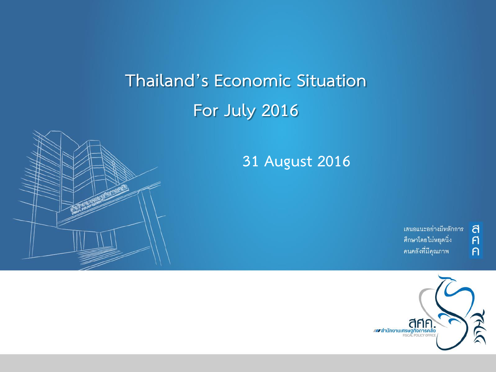# **Thailand's Economic Situation For July 2016**





้เสนอแนะอย่างมีหลักการ ศึกษาโดยไม่หยุดนิ่ง คนคลังที่มีคุณภาพ

ิ<br>ศิ

 $\overline{P}$ 

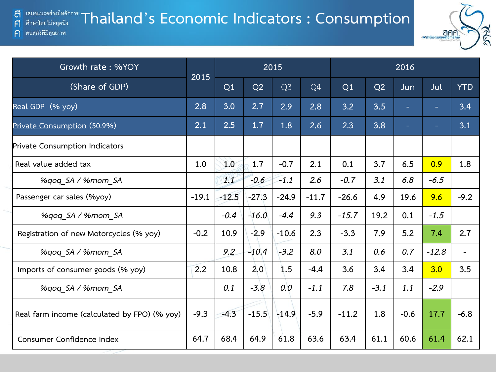**THAILARE AND AN INDIA CONOMIC INDICATORS : Consumption** a  $\mathsf{F}$ 

ิคนคลังที่มีคุณภาพ  $\bigcap$ 



| Growth rate: %YOY                            | 2015    |         |         | 2015           |         | 2016    |        |        |         |            |  |
|----------------------------------------------|---------|---------|---------|----------------|---------|---------|--------|--------|---------|------------|--|
| (Share of GDP)                               |         | Q1      | Q2      | Q <sub>3</sub> | Q4      | Q1      | Q2     | Jun    | Jul     | <b>YTD</b> |  |
| Real GDP (% yoy)                             | 2.8     | 3.0     | 2.7     | 2.9            | 2.8     | 3.2     | 3.5    | ÷      | ٠       | 3.4        |  |
| Private Consumption (50.9%)                  | 2.1     | 2.5     | 1.7     | 1.8            | 2.6     | 2.3     | 3.8    | ٠      | ۰       | 3.1        |  |
| Private Consumption Indicators               |         |         |         |                |         |         |        |        |         |            |  |
| Real value added tax                         | 1.0     | 1.0     | 1.7     | $-0.7$         | 2.1     | 0.1     | 3.7    | 6.5    | 0.9     | 1.8        |  |
| %gog SA / %mom SA                            |         | 1.1     | $-0.6$  | $-1.1$         | 2.6     | $-0.7$  | 3.1    | 6.8    | $-6.5$  |            |  |
| Passenger car sales (%yoy)                   | $-19.1$ | $-12.5$ | $-27.3$ | $-24.9$        | $-11.7$ | $-26.6$ | 4.9    | 19.6   | 9.6     | $-9.2$     |  |
| %qoq SA / %mom SA                            |         | $-0.4$  | $-16.0$ | $-4.4$         | 9.3     | $-15.7$ | 19.2   | 0.1    | $-1.5$  |            |  |
| Registration of new Motorcycles (% yoy)      | $-0.2$  | 10.9    | $-2.9$  | $-10.6$        | 2.3     | $-3.3$  | 7.9    | 5.2    | 7.4     | 2.7        |  |
| %qoq SA / %mom SA                            |         | 9.2     | $-10.4$ | $-3.2$         | 8.0     | 3.1     | 0.6    | 0.7    | $-12.8$ |            |  |
| Imports of consumer goods (% yoy)            | 2.2     | 10.8    | 2.0     | 1.5            | $-4.4$  | 3.6     | 3.4    | 3.4    | 3.0     | 3.5        |  |
| %gog SA / %mom SA                            |         | 0.1     | $-3.8$  | 0.0            | $-1.1$  | 7.8     | $-3.1$ | 1.1    | $-2.9$  |            |  |
| Real farm income (calculated by FPO) (% yoy) | $-9.3$  | $-4.3$  | $-15.5$ | $-14.9$        | $-5.9$  | $-11.2$ | 1.8    | $-0.6$ | 17.7    | $-6.8$     |  |
| Consumer Confidence Index                    | 64.7    | 68.4    | 64.9    | 61.8           | 63.6    | 63.4    | 61.1   | 60.6   | 61.4    | 62.1       |  |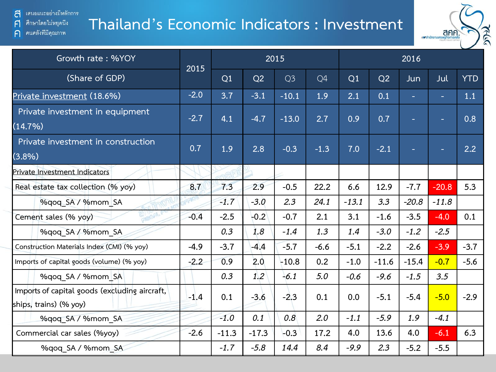้ เสนอแนะอย่างมีหลักการ a ศึกษาโดยไม่หยุดนี้ง

คนคลังที่มีคุณภาพ

 $\mathsf{F}$ 

 $\bigcap$ 

## **Thailand's Economic Indicators : Investment**



| Growth rate: %YOY                                                       | 2015   |         |         | 2015    | 2016   |         |         |         |         |            |
|-------------------------------------------------------------------------|--------|---------|---------|---------|--------|---------|---------|---------|---------|------------|
| (Share of GDP)                                                          |        | Q1      | Q2      | Q3      | Q4     | Q1      | Q2      | Jun     | Jul     | <b>YTD</b> |
| Private investment (18.6%)                                              | $-2.0$ | 3.7     | $-3.1$  | $-10.1$ | 1.9    | 2.1     | 0.1     | ٠       | ٠       | 1.1        |
| Private investment in equipment<br>$(14.7\%)$                           | $-2.7$ | 4.1     | $-4.7$  | $-13.0$ | 2.7    | 0.9     | 0.7     |         | ٠       | 0.8        |
| Private investment in construction<br>$(3.8\%)$                         | 0.7    | 1.9     | 2.8     | $-0.3$  | $-1.3$ | 7.0     | $-2.1$  | ٠       | ٠       | 2.2        |
| Private Investment Indicators                                           |        |         |         |         |        |         |         |         |         |            |
| Real estate tax collection (% yoy)                                      | 8.7    | 7.3     | 2.9     | $-0.5$  | 22.2   | 6.6     | 12.9    | $-7.7$  | $-20.8$ | 5.3        |
| %gog SA / %mom SA                                                       |        | $-1.7$  | $-3.0$  | 2.3     | 24.1   | $-13.1$ | 3.3     | $-20.8$ | $-11.8$ |            |
| Cement sales (% yoy)                                                    | $-0.4$ | $-2.5$  | $-0.2$  | $-0.7$  | 2.1    | 3.1     | $-1.6$  | $-3.5$  | $-4.0$  | 0.1        |
| %qoq SA / %mom SA                                                       |        | 0.3     | 1.8     | $-1.4$  | 1.3    | 1.4     | $-3.0$  | $-1.2$  | $-2.5$  |            |
| Construction Materials Index (CMI) (% yoy)                              | $-4.9$ | $-3.7$  | $-4.4$  | $-5.7$  | $-6.6$ | $-5.1$  | $-2.2$  | $-2.6$  | $-3.9$  | $-3.7$     |
| Imports of capital goods (volume) (% yoy)                               | $-2.2$ | 0.9     | 2.0     | $-10.8$ | 0.2    | $-1.0$  | $-11.6$ | $-15.4$ | $-0.7$  | $-5.6$     |
| %qoq SA / %mom SA                                                       |        | 0.3     | 1.2     | $-6.1$  | 5.0    | $-0.6$  | $-9.6$  | $-1.5$  | 3.5     |            |
| Imports of capital goods (excluding aircraft,<br>ships, trains) (% yoy) | $-1.4$ | 0.1     | $-3.6$  | $-2.3$  | 0.1    | 0.0     | $-5.1$  | $-5.4$  | $-5.0$  | $-2.9$     |
| %gog SA / %mom SA                                                       |        | $-1.0$  | 0.1     | 0.8     | 2.0    | $-1.1$  | $-5.9$  | 1.9     | $-4.1$  |            |
| Commercial car sales (%yoy)                                             | $-2.6$ | $-11.3$ | $-17.3$ | $-0.3$  | 17.2   | 4.0     | 13.6    | 4.0     | $-6.1$  | 6.3        |
| %qoq SA / %mom SA                                                       |        | $-1.7$  | $-5.8$  | 14.4    | 8.4    | $-9.9$  | 2.3     | $-5.2$  | $-5.5$  |            |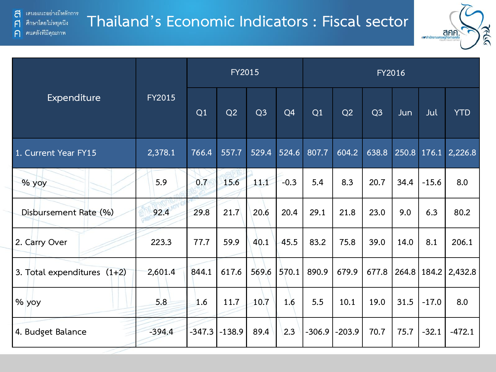

|                               |          |          | FY2015   |                |                | FY2016   |          |                |      |                 |            |  |  |
|-------------------------------|----------|----------|----------|----------------|----------------|----------|----------|----------------|------|-----------------|------------|--|--|
| Expenditure                   | FY2015   | Q1       | Q2       | Q <sub>3</sub> | Q <sub>4</sub> | Q1       | Q2       | Q <sub>3</sub> | Jun  | Jul             | <b>YTD</b> |  |  |
| 1. Current Year FY15          | 2,378.1  | 766.4    | 557.7    | 529.4          | 524.6          | 807.7    | 604.2    | 638.8          |      | 250.8 176.1     | 2,226.8    |  |  |
| % yoy                         | 5.9      | 0.7      | 15.6     | 11.1           | $-0.3$         | 5.4      | 8.3      | 20.7           | 34.4 | $-15.6$         | 8.0        |  |  |
| Disbursement Rate (%)         | 92.4     | 29.8     | 21.7     | 20.6           | 20.4           | 29.1     | 21.8     | 23.0           | 9.0  | 6.3             | 80.2       |  |  |
| 2. Carry Over                 | 223.3    | 77.7     | 59.9     | 40.1           | 45.5           | 83.2     | 75.8     | 39.0           | 14.0 | 8.1             | 206.1      |  |  |
| 3. Total expenditures $(1+2)$ | 2,601.4  | 844.1    | 617.6    | 569.6          | 570.1          | 890.9    | 679.9    | 677.8          |      | $264.8$   184.2 | 2,432.8    |  |  |
| % yoy                         | 5.8      | 1.6      | 11.7     | 10.7           | 1.6            | 5.5      | 10.1     | 19.0           | 31.5 | $-17.0$         | 8.0        |  |  |
| 4. Budget Balance             | $-394.4$ | $-347.3$ | $-138.9$ | 89.4           | 2.3            | $-306.9$ | $-203.9$ | 70.7           | 75.7 | $-32.1$         | $-472.1$   |  |  |

ิคนคลังที่มีคุณภาพ

 $\mathsf{F}$ 

 $\bigcap$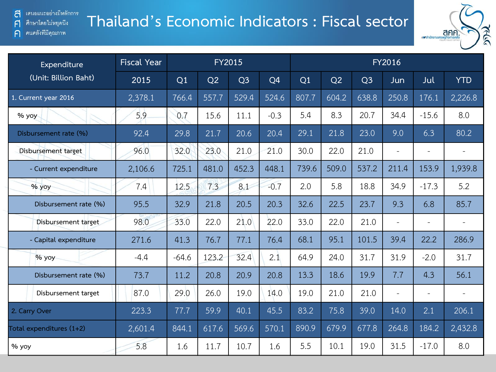$\mathsf{F}$ 

 $\bigcap$ 

ศึกษาโดยไม่หยุดนี้ง

ิคนคลังที่มีคุณภาพ

# **Thailand's Economic Indicators : Fiscal sector**



| Expenditure              | <b>Fiscal Year</b> |         |       | <b>FY2015</b>  |                |       |       |                | <b>FY2016</b>  |                          |            |
|--------------------------|--------------------|---------|-------|----------------|----------------|-------|-------|----------------|----------------|--------------------------|------------|
| (Unit: Billion Baht)     | 2015               | Q1      | Q2    | Q <sub>3</sub> | Q <sub>4</sub> | Q1    | Q2    | Q <sub>3</sub> | Jun            | Jul                      | <b>YTD</b> |
| 1. Current year 2016     | 2,378.1            | 766.4   | 557.7 | 529.4          | 524.6          | 807.7 | 604.2 | 638.8          | 250.8          | 176.1                    | 2,226.8    |
| % yoy                    | 5.9                | 0.7     | 15.6  | 11.1           | $-0.3$         | 5.4   | 8.3   | 20.7           | 34.4           | $-15.6$                  | 8.0        |
| Disbursement rate (%)    | 92.4               | 29.8    | 21.7  | 20.6           | 20.4           | 29.1  | 21.8  | 23.0           | 9.0            | 6.3                      | 80.2       |
| Disbursement target      | 96.0               | 32.0    | 23.0  | 21.0           | 21.0           | 30.0  | 22.0  | 21.0           |                |                          |            |
| - Current expenditure    | 2,106.6            | 725.1   | 481.0 | 452.3          | 448.1          | 739.6 | 509.0 | 537.2          | 211.4          | 153.9                    | 1,939.8    |
| % yoy                    | 7.4                | 12.5    | 7.3   | 8.1            | $-0.7$         | 2.0   | 5.8   | 18.8           | 34.9           | $-17.3$                  | 5.2        |
| Disbursement rate (%)    | 95.5               | 32.9    | 21.8  | 20.5           | 20.3           | 32.6  | 22.5  | 23.7           | 9.3            | 6.8                      | 85.7       |
| Disbursement target      | 98.0               | 33.0    | 22.0  | 21.0           | 22.0           | 33.0  | 22.0  | 21.0           | $\blacksquare$ | $\overline{\phantom{a}}$ |            |
| - Capital expenditure    | 271.6              | 41.3    | 76.7  | 77.1           | 76.4           | 68.1  | 95.1  | 101.5          | 39.4           | 22.2                     | 286.9      |
| $%$ yoy                  | $-4.4$             | $-64.6$ | 123.2 | 32.4           | 2.1            | 64.9  | 24.0  | 31.7           | 31.9           | $-2.0$                   | 31.7       |
| Disbursement rate (%)    | 73.7               | 11.2    | 20.8  | 20.9           | 20.8           | 13.3  | 18.6  | 19.9           | 7.7            | 4.3                      | 56.1       |
| Disbursement target      | 87.0               | 29.0    | 26.0  | 19.0           | 14.0           | 19.0  | 21.0  | 21.0           |                | $\overline{\phantom{a}}$ |            |
| 2. Carry Over            | 223.3              | 77.7    | 59.9  | 40.1           | 45.5           | 83.2  | 75.8  | 39.0           | 14.0           | 2.1                      | 206.1      |
| Total expenditures (1+2) | 2,601.4            | 844.1   | 617.6 | 569.6          | 570.1          | 890.9 | 679.9 | 677.8          | 264.8          | 184.2                    | 2,432.8    |
| % yoy                    | 5.8                | 1.6     | 11.7  | 10.7           | 1.6            | 5.5   | 10.1  | 19.0           | 31.5           | $-17.0$                  | 8.0        |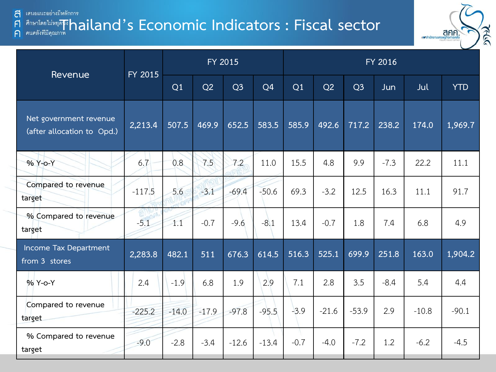a

## **Talipulis adminis and the particle indiversed with the particle indiversed with the particle indiversed and cator**  $\bigcap$



| Revenue                                              | FY 2015  |                  | FY 2015 |                    |                | FY 2016 |         |                |        |         |            |  |  |
|------------------------------------------------------|----------|------------------|---------|--------------------|----------------|---------|---------|----------------|--------|---------|------------|--|--|
|                                                      |          | Q1               | Q2      | Q <sub>3</sub>     | Q <sub>4</sub> | Q1      | Q2      | Q <sub>3</sub> | Jun    | Jul     | <b>YTD</b> |  |  |
| Net government revenue<br>(after allocation to Opd.) | 2,213.4  | 507.5            | 469.9   | 652.5              | 583.5          | 585.9   | 492.6   | 717.2          | 238.2  | 174.0   | 1,969.7    |  |  |
| % Y-o-Y                                              | 6.7      | 0.8              | 7.5     | 7.2                | 11.0           | 15.5    | 4.8     | 9.9            | $-7.3$ | 22.2    | 11.1       |  |  |
| Compared to revenue<br>target                        | $-117.5$ | 5.6              | $-3.1$  | $-69.4$            | $-50.6$        | 69.3    | $-3.2$  | 12.5           | 16.3   | 11.1    | 91.7       |  |  |
| % Compared to revenue<br>target                      | $-5.1$   | $\overline{1.1}$ | $-0.7$  | $-9.6$             | $-8.1$         | 13.4    | $-0.7$  | 1.8            | 7.4    | 6.8     | 4.9        |  |  |
| Income Tax Department<br>from 3 stores               | 2,283.8  | 482.1            | 511     | $\overline{676.3}$ | 614.5          | 516.3   | 525.1   | 699.9          | 251.8  | 163.0   | 1,904.2    |  |  |
| % Y-o-Y                                              | 2.4      | $-1.9$           | 6.8     | 1.9                | 2.9            | 7.1     | 2.8     | 3.5            | $-8.4$ | 5.4     | 4.4        |  |  |
| Compared to revenue<br>target                        | $-225.2$ | $-14.0$          | $-17.9$ | $-97.8$            | $-95.5$        | $-3.9$  | $-21.6$ | $-53.9$        | 2.9    | $-10.8$ | $-90.1$    |  |  |
| % Compared to revenue<br>target                      | $-9.0$   | $-2.8$           | $-3.4$  | $-12.6$            | $-13.4$        | $-0.7$  | $-4.0$  | $-7.2$         | 1.2    | $-6.2$  | $-4.5$     |  |  |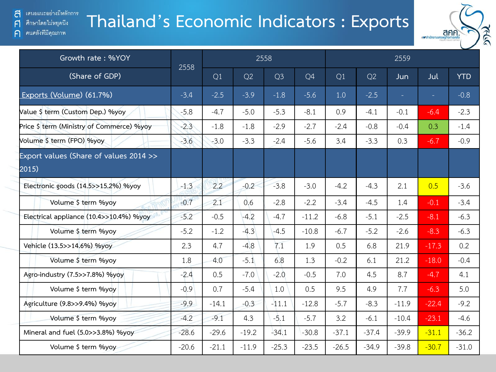คนคลังที่มีคุณภาพ

 $\bigcap$ 

# **Thailand's Economic Indicators : Exports**



| Growth rate: %YOY                               | 2558    |         |         | 2558           |         | 2559           |         |                          |         |            |  |
|-------------------------------------------------|---------|---------|---------|----------------|---------|----------------|---------|--------------------------|---------|------------|--|
| (Share of GDP)                                  |         | Q1      | Q2      | O <sub>3</sub> | Q4      | O <sub>1</sub> | Q2      | <b>Jun</b>               | Jul     | <b>YTD</b> |  |
| Exports (Volume) (61.7%)                        | $-3.4$  | $-2.5$  | $-3.9$  | $-1.8$         | $-5.6$  | 1.0            | $-2.5$  | $\overline{\phantom{a}}$ |         | $-0.8$     |  |
| Value \$ term (Custom Dep.) %yoy                | $-5.8$  | $-4.7$  | $-5.0$  | $-5.3$         | $-8.1$  | 0.9            | $-4.1$  | $-0.1$                   | $-6.4$  | $-2.3$     |  |
| Price \$ term (Ministry of Commerce) %yoy       | $-2.3$  | $-1.8$  | $-1.8$  | $-2.9$         | $-2.7$  | $-2.4$         | $-0.8$  | $-0.4$                   | 0.3     | $-1.4$     |  |
| Volume \$ term (FPO) %yoy                       | $-3.6$  | $-3.0$  | $-3.3$  | $-2.4$         | $-5.6$  | 3.4            | $-3.3$  | 0.3                      | $-6.7$  | $-0.9$     |  |
| Export values (Share of values 2014 >><br>2015) |         |         |         |                |         |                |         |                          |         |            |  |
| Electronic goods (14.5>>15.2%) %yoy             | $-1.3$  | 2.2     | $-0.2$  | $-3.8$         | $-3.0$  | $-4.2$         | $-4.3$  | 2.1                      | 0.5     | $-3.6$     |  |
| Volume \$ term %yoy                             | $-0.7$  | 2.1     | 0.6     | $-2.8$         | $-2.2$  | $-3.4$         | $-4.5$  | 1.4                      | $-0.1$  | $-3.4$     |  |
| Electrical appliance (10.4>>10.4%) %yoy         | $-5.2$  | $-0.5$  | $-4.2$  | $-4.7$         | $-11.2$ | $-6.8$         | $-5.1$  | $-2.5$                   | $-8.1$  | $-6.3$     |  |
| Volume \$ term %yoy                             | $-5.2$  | $-1.2$  | $-4.3$  | $-4.5$         | $-10.8$ | $-6.7$         | $-5.2$  | $-2.6$                   | $-8.3$  | $-6.3$     |  |
| Vehicle (13.5>>14.6%) %yoy                      | 2.3     | 4.7     | $-4.8$  | 7.1            | 1.9     | 0.5            | 6.8     | 21.9                     | $-17.3$ | 0.2        |  |
| Volume \$ term %yoy                             | 1.8     | 4.0     | $-5.1$  | 6.8            | 1.3     | $-0.2$         | 6.1     | 21.2                     | $-18.0$ | $-0.4$     |  |
| Agro-industry (7.5>>7.8%) %yoy                  | $-2.4$  | 0.5     | $-7.0$  | $-2.0$         | $-0.5$  | 7.0            | 4.5     | 8.7                      | $-4.7$  | 4.1        |  |
| Volume \$ term %yoy                             | $-0.9$  | 0.7     | $-5.4$  | 1.0            | 0.5     | 9.5            | 4.9     | 7.7                      | $-6.3$  | 5.0        |  |
| Agriculture (9.8>>9.4%) %yoy                    | $-9.9$  | $-14.1$ | $-0.3$  | $-11.1$        | $-12.8$ | $-5.7$         | $-8.3$  | $-11.9$                  | $-22.4$ | $-9.2$     |  |
| Volume \$ term %yoy                             | $-4.2$  | $-9.1$  | 4.3     | $-5.1$         | $-5.7$  | 3.2            | $-6.1$  | $-10.4$                  | $-23.1$ | $-4.6$     |  |
| Mineral and fuel (5.0>>3.8%) %yoy               | $-28.6$ | $-29.6$ | $-19.2$ | $-34.1$        | $-30.8$ | $-37.1$        | $-37.4$ | $-39.9$                  | $-31.1$ | $-36.2$    |  |
| Volume \$ term %yoy                             | $-20.6$ | $-21.1$ | $-11.9$ | $-25.3$        | $-23.5$ | $-26.5$        | $-34.9$ | $-39.8$                  | $-30.7$ | $-31.0$    |  |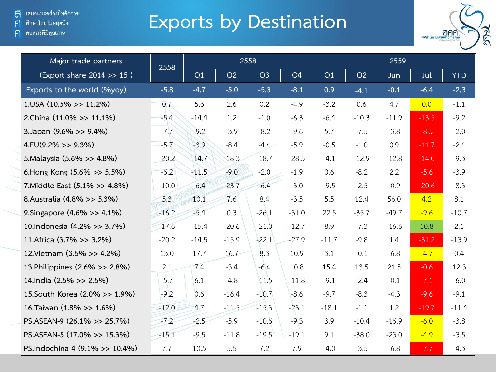#### ์ ศึกษาโดยไม่หยุดนี<sub>้</sub>ง  $\mathsf{F}$

ค คนคลังที่มีคุณภาพ

# **Exports by Destination**



| Major trade partners           | 2558    |         |         | 2558           |                |         |         | 2559    |         |            |
|--------------------------------|---------|---------|---------|----------------|----------------|---------|---------|---------|---------|------------|
| (Export share 2014 >> 15)      |         | Q1      | Q2      | Q <sub>3</sub> | Q <sub>4</sub> | Q1      | Q2      | Jun     | Jul     | <b>YTD</b> |
| Exports to the world (%yoy)    | $-5.8$  | $-4.7$  | $-5.0$  | $-5.3$         | $-8.1$         | 0.9     | $-4.1$  | $-0.1$  | $-6.4$  | $-2.3$     |
| $1.05A(10.5\%>>11.2\%)$        | 0.7     | 5.6     | 2.6     | 0.2            | $-4.9$         | $-3.2$  | 0.6     | 4.7     | 0.0     | $-1.1$     |
| 2.China (11.0% >> 11.1%)       | $-5.4$  | $-14.4$ | 1.2     | $-1.0$         | $-6.3$         | $-6.4$  | $-10.3$ | $-11.9$ | $-13.5$ | $-9.2$     |
| 3.Japan (9.6% >> 9.4%)         | $-7.7$  | $-9.2$  | $-3.9$  | $-8.2$         | $-9.6$         | 5.7     | $-7.5$  | $-3.8$  | $-8.5$  | $-2.0$     |
| $4.EU(9.2\% >> 9.3\%)$         | $-5.7$  | $-3.9$  | $-8.4$  | $-4.4$         | $-5.9$         | $-0.5$  | $-1.0$  | 0.9     | $-11.7$ | $-2.4$     |
| 5. Malaysia (5.6% >> 4.8%)     | $-20.2$ | $-14.7$ | $-18.3$ | $-18.7$        | $-28.5$        | $-4.1$  | $-12.9$ | $-12.8$ | $-14.0$ | $-9.3$     |
| 6. Hong Kong (5.6% >> 5.5%)    | $-6.2$  | $-11.5$ | $-9.0$  | $-2.0$         | $-1.9$         | 0.6     | $-8.2$  | 2.2     | $-5.6$  | $-3.9$     |
| 7. Middle East (5.1% >> 4.8%)  | $-10.0$ | $-6.4$  | $-23.7$ | $-6.4$         | $-3.0$         | $-9.5$  | $-2.5$  | $-0.9$  | $-20.6$ | $-8.3$     |
| 8.Australia (4.8% >> 5.3%)     | 5.3     | 10.1    | 7.6     | 8.4            | $-3.5$         | 5.5     | 12.4    | 56.0    | 4.2     | 8.1        |
| 9. Singapore (4.6% >> 4.1%)    | $-16.2$ | $-5.4$  | 0.3     | $-26.1$        | $-31.0$        | 22.5    | $-35.7$ | $-49.7$ | $-9.6$  | $-10.7$    |
| 10.Indonesia (4.2% >> 3.7%)    | $-17.6$ | $-15.4$ | $-20.6$ | $-21.0$        | $-12.7$        | 8.9     | $-7.3$  | $-16.6$ | 10.8    | 2.1        |
| 11. Africa (3.7% >> 3.2%)      | $-20.2$ | $-14.5$ | $-15.9$ | $-22.1$        | $-27.9$        | $-11.7$ | $-9.8$  | 1.4     | $-31.2$ | $-13.9$    |
| 12. Vietnam (3.5% >> 4.2%)     | 13.0    | 17.7    | 16.7    | 8.3            | 10.9           | 3.1     | $-0.1$  | $-6.8$  | $-4.7$  | 0.4        |
| 13. Philippines (2.6% >> 2.8%) | 2.1     | 7.4     | $-3.4$  | $-6.4$         | 10.8           | 15.4    | 13.5    | 21.5    | $-0.6$  | 12.3       |
| 14.India (2.5% >> 2.5%)        | $-5.7$  | 6.1     | $-4.8$  | $-11.5$        | $-11.8$        | $-9.1$  | $-2.4$  | $-0.1$  | $-7.1$  | $-6.0$     |
| 15.South Korea (2.0% >> 1.9%)  | $-9.2$  | 0.6     | $-16.4$ | $-10.7$        | $-8.6$         | $-9.7$  | $-8.3$  | $-4.3$  | $-9.6$  | $-9.1$     |
| 16. Taiwan (1.8% >> 1.6%)      | $-12.0$ | 4.7     | $-11.5$ | $-15.3$        | $-23.1$        | $-18.1$ | $-1.1$  | 1.2     | $-19.7$ | $-11.4$    |
| PS.ASEAN-9 (26.1% >> 25.7%)    | $-7.2$  | $-2.5$  | $-5.9$  | $-10.6$        | $-9.3$         | 3.9     | $-10.4$ | $-16.9$ | $-6.0$  | $-3.8$     |
| PS.ASEAN-5 (17.0% >> 15.3%)    | $-15.1$ | $-9.5$  | $-11.8$ | $-19.5$        | $-19.1$        | 9.1     | $-38.0$ | $-23.0$ | $-4.9$  | $-3.5$     |
| PS.Indochina-4 (9.1% >> 10.4%) | 7.7     | 10.5    | 5.5     | 7.2            | 7.9            | $-4.0$  | $-3.5$  | $-6.8$  | $-7.7$  | $-4.3$     |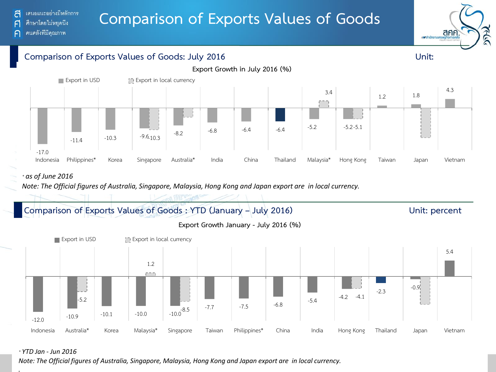คนคลังที่มีคณภาพ A

<u>ศึกษาโดยไม่หยดนีง</u>

ส

เสนอแนะอย่างมีหลักการ



### **Comparison of Exports Values of Goods: July 2016 Unit:**



#### *\* as of June 2016*

*Note: The Official figures of Australia, Singapore, Malaysia, Hong Kong and Japan export are in local currency.*

### **Comparison of Exports Values of Goods : YTD (January – July 2016) Unit: percent**

**Export Growth January - July 2016 (%)**



#### *\* YTD Jan - Jun 2016*

*.*

*Note: The Official figures of Australia, Singapore, Malaysia, Hong Kong and Japan export are in local currency.*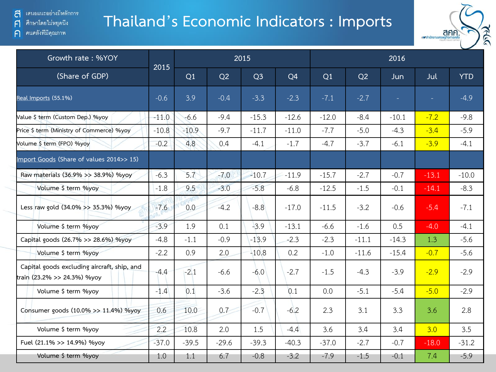## **Thailand's Economic Indicators : Imports**



 $\mathsf{F}$ 



| Growth rate: %YOY                                                          |         | 2015<br>2015 |         |                |                |         | 2016    |            |          |            |  |  |  |
|----------------------------------------------------------------------------|---------|--------------|---------|----------------|----------------|---------|---------|------------|----------|------------|--|--|--|
| (Share of GDP)                                                             |         | Q1           | Q2      | Q <sub>3</sub> | Q <sub>4</sub> | Q1      | Q2      | <b>Jun</b> | Jul      | <b>YTD</b> |  |  |  |
| Real Imports (55.1%)                                                       | $-0.6$  | 3.9          | $-0.4$  | $-3.3$         | $-2.3$         | $-7.1$  | $-2.7$  | $\equiv$   | $\equiv$ | $-4.9$     |  |  |  |
| Value \$ term (Custom Dep.) %yoy                                           | $-11.0$ | $-6.6$       | $-9.4$  | $-15.3$        | $-12.6$        | $-12.0$ | $-8.4$  | $-10.1$    | $-7.2$   | $-9.8$     |  |  |  |
| Price \$ term (Ministry of Commerce) %yoy                                  | $-10.8$ | $-10.9$      | $-9.7$  | $-11.7$        | $-11.0$        | $-7.7$  | $-5.0$  | $-4.3$     | $-3.4$   | $-5.9$     |  |  |  |
| Volume \$ term (FPO) %yoy                                                  | $-0.2$  | 4.8          | 0.4     | $-4.1$         | $-1.7$         | $-4.7$  | $-3.7$  | $-6.1$     | $-3.9$   | $-4.1$     |  |  |  |
| Import Goods (Share of values 2014>> 15)                                   |         |              |         |                |                |         |         |            |          |            |  |  |  |
| Raw materials (36.9% >> 38.9%) %yoy                                        | $-6.3$  | 5.7          | $-7.0$  | $-10.7$        | $-11.9$        | $-15.7$ | $-2.7$  | $-0.7$     | $-13.1$  | $-10.0$    |  |  |  |
| Volume \$ term %yoy                                                        | $-1.8$  | 9.5          | $-3.0$  | $-5.8$         | $-6.8$         | $-12.5$ | $-1.5$  | $-0.1$     | $-14.1$  | $-8.3$     |  |  |  |
| Less raw gold (34.0% >> 35.3%) %yoy                                        | $-7.6$  | 0.0          | $-4.2$  | $-8.8$         | $-17.0$        | $-11.5$ | $-3.2$  | $-0.6$     | $-5.4$   | $-7.1$     |  |  |  |
| Volume \$ term %yoy                                                        | $-3.9$  | 1.9          | 0.1     | $-3.9$         | $-13.1$        | $-6.6$  | $-1.6$  | 0.5        | $-4.0$   | $-4.1$     |  |  |  |
| Capital goods (26.7% >> 28.6%) %yoy                                        | $-4.8$  | $-1.1$       | $-0.9$  | $-13.9$        | $-2.3$         | $-2.3$  | $-11.1$ | $-14.3$    | 1.3      | $-5.6$     |  |  |  |
| Volume \$ term %yoy                                                        | $-2.2$  | 0.9          | 2.0     | $-10.8$        | 0.2            | $-1.0$  | $-11.6$ | $-15.4$    | $-0.7$   | $-5.6$     |  |  |  |
| Capital goods excluding aircraft, ship, and<br>train (23.2% >> 24.3%) %yoy | $-4.4$  | $-2.1$       | $-6.6$  | $-6.0$         | $-2.7$         | $-1.5$  | $-4.3$  | $-3.9$     | $-2.9$   | $-2.9$     |  |  |  |
| Volume \$ term %yoy                                                        | $-1.4$  | 0.1          | $-3.6$  | $-2.3$         | 0.1            | 0.0     | $-5.1$  | $-5.4$     | $-5.0$   | $-2.9$     |  |  |  |
| Consumer goods (10.0% >> 11.4%) %yoy                                       | 0.6     | 10.0         | 0.7     | $-0.7$         | $-6.2$         | 2.3     | 3.1     | 3.3        | 3.6      | 2.8        |  |  |  |
| Volume \$ term %yoy                                                        | 2.2     | 10.8         | 2.0     | 1.5            | $-4.4$         | 3.6     | 3.4     | 3.4        | 3.0      | 3.5        |  |  |  |
| Fuel (21.1% >> 14.9%) %yoy                                                 | $-37.0$ | $-39.5$      | $-29.6$ | $-39.3$        | $-40.3$        | $-37.0$ | $-2.7$  | $-0.7$     | $-18.0$  | $-31.2$    |  |  |  |
| Volume \$ term %yoy                                                        | 1.0     | 1.1          | 6.7     | $-0.8$         | $-3.2$         | $-7.9$  | $-1.5$  | $-0.1$     | 7.4      | $-5.9$     |  |  |  |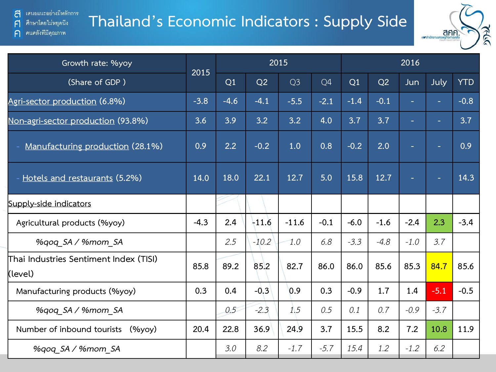### ้ เสนอแนะอย่างมีหลักการ **Thailand's Economic Indicators : Supply Side**

a

 $\mathsf{F}$ 

 $\bigcap$ 

ศึกษาโดยไม่หยุดนี้ง

ิคนคลังที่มีคุณภาพ



| Growth rate: %yoy                                 | 2015   |        |         | 2015           |        | 2016   |        |        |        |            |  |
|---------------------------------------------------|--------|--------|---------|----------------|--------|--------|--------|--------|--------|------------|--|
| (Share of GDP)                                    |        | Q1     | Q2      | Q <sub>3</sub> | Q4     | Q1     | Q2     | Jun    | July   | <b>YTD</b> |  |
| Agri-sector production (6.8%)                     | $-3.8$ | $-4.6$ | $-4.1$  | $-5.5$         | $-2.1$ | $-1.4$ | $-0.1$ | н      | ٠      | $-0.8$     |  |
| Non-agri-sector production (93.8%)                | 3.6    | 3.9    | 3.2     | 3.2            | 4.0    | 3.7    | 3.7    | н      | ÷      | 3.7        |  |
| Manufacturing production (28.1%)                  | 0.9    | 2.2    | $-0.2$  | 1.0            | 0.8    | $-0.2$ | 2.0    |        | н      | 0.9        |  |
| - Hotels and restaurants (5.2%)                   | 14.0   | 18.0   | 22.1    | 12.7           | 5.0    | 15.8   | 12.7   | н      | н      | 14.3       |  |
| Supply-side indicators                            |        |        |         |                |        |        |        |        |        |            |  |
| Agricultural products (%yoy)                      | $-4.3$ | 2.4    | $-11.6$ | $-11.6$        | $-0.1$ | $-6.0$ | $-1.6$ | $-2.4$ | 2.3    | $-3.4$     |  |
| %gog SA / %mom SA                                 |        | 2.5    | $-10.2$ | 1.0            | 6.8    | $-3.3$ | $-4.8$ | $-1.0$ | 3.7    |            |  |
| Thai Industries Sentiment Index (TISI)<br>(level) | 85.8   | 89.2   | 85.2    | 82.7           | 86.0   | 86.0   | 85.6   | 85.3   | 84.7   | 85.6       |  |
| Manufacturing products (%yoy)                     | 0.3    | 0.4    | $-0.3$  | 0.9            | 0.3    | $-0.9$ | 1.7    | 1.4    | $-5.1$ | $-0.5$     |  |
| %gog SA / %mom SA                                 |        | 0.5    | $-2.3$  | 1.5            | 0.5    | 0.1    | 0.7    | $-0.9$ | $-3.7$ |            |  |
| Number of inbound tourists<br>(%yoy)              | 20.4   | 22.8   | 36.9    | 24.9           | 3.7    | 15.5   | 8.2    | 7.2    | 10.8   | 11.9       |  |
| %gog SA / %mom SA                                 |        | 3.0    | 8.2     | $-1.7$         | $-5.7$ | 15.4   | 1.2    | $-1.2$ | 6.2    |            |  |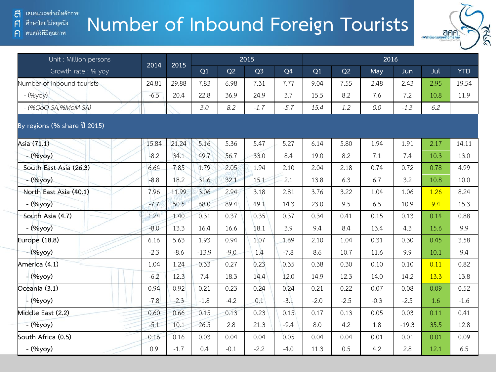# **Number of Inbound Foreign Tourists**



| Unit : Million persons                            | 2014   |        | 2015    |        |                |        | 2016   |        |        |         |      |            |
|---------------------------------------------------|--------|--------|---------|--------|----------------|--------|--------|--------|--------|---------|------|------------|
| Growth rate : % yoy                               |        | 2015   | Q1      | Q2     | Q <sub>3</sub> | Q4     | Q1     | Q2     | May    | Jun     | Jul  | <b>YTD</b> |
| Number of inbound tourists                        | 24.81  | 29.88  | 7.83    | 6.98   | 7.31           | 7.77   | 9.04   | 7.55   | 2.48   | 2.43    | 2.95 | 19.54      |
| $-(96yoy)$                                        | $-6.5$ | 20.4   | 22.8    | 36.9   | 24.9           | 3.7    | 15.5   | 8.2    | 7.6    | 7.2     | 10.8 | 11.9       |
| $-(\frac{96}{90}$ QOQ SA, $\frac{96}{90}$ MOM SA) |        |        | 3.0     | 8.2    | $-1.7$         | $-5.7$ | 15.4   | 1.2    | 0.0    | $-1.3$  | 6.2  |            |
| By regions (% share ปี 2015)                      |        |        |         |        |                |        |        |        |        |         |      |            |
| Asia (71.1)                                       | 15.84  | 21.24  | 5.16    | 5.36   | 5.47           | 5.27   | 6.14   | 5.80   | 1.94   | 1.91    | 2.17 | 14.11      |
| $-(\frac{0}{y}$ yoy)                              | $-8.2$ | 34.1   | 49.7    | 56.7   | 33.0           | 8.4    | 19.0   | 8.2    | 7.1    | 7.4     | 10.3 | 13.0       |
| South East Asia (26.3)                            | 6.64   | 7.85   | 1.79    | 2.05   | 1.94           | 2.10   | 2.04   | 2.18   | 0.74   | 0.72    | 0.78 | 4.99       |
| - (%yoy)                                          | $-8.8$ | 18.2   | 31.6    | 32.1   | 15.1           | 2.1    | 13.8   | 6.3    | 6.7    | 3.2     | 10.8 | 10.0       |
| North East Asia (40.1)                            | 7.96   | 11.99  | 3.06    | 2.94   | 3.18           | 2.81   | 3.76   | 3.22   | 1.04   | 1.06    | 1.26 | 8.24       |
| - (%yoy)                                          | $-7.7$ | 50.5   | 68.0    | 89.4   | 49.1           | 14.3   | 23.0   | 9.5    | 6.5    | 10.9    | 9.4  | 15.3       |
| South Asia (4.7)                                  | 1.24   | 1.40   | 0.31    | 0.37   | 0.35           | 0.37   | 0.34   | 0.41   | 0.15   | 0.13    | 0.14 | 0.88       |
| $-(\frac{9}{9}yoy)$                               | $-8.0$ | 13.3   | 16.4    | 16.6   | 18.1           | 3.9    | 9.4    | 8.4    | 13.4   | 4.3     | 15.6 | 9.9        |
| Europe (18.8)                                     | 6.16   | 5.63   | 1.93    | 0.94   | 1.07           | 1.69   | 2.10   | 1.04   | 0.31   | 0.30    | 0.45 | 3.58       |
| - (%yoy)                                          | $-2.3$ | $-8.6$ | $-13.9$ | $-9.0$ | 1.4            | $-7.8$ | 8.6    | 10.7   | 11.6   | 9.9     | 10.1 | 9.4        |
| America (4.1)                                     | 1.04   | 1.24   | 0.33    | 0.27   | 0.23           | 0.35   | 0.38   | 0.30   | 0.10   | 0.10    | 0.11 | 0.82       |
| $-(\%$ yoy $)$                                    | $-6.2$ | 12.3   | 7.4     | 18.3   | 14.4           | 12.0   | 14.9   | 12.3   | 14.0   | 14.2    | 13.3 | 13.8       |
| Oceania (3.1)                                     | 0.94   | 0.92   | 0.21    | 0.23   | 0.24           | 0.24   | 0.21   | 0.22   | 0.07   | 0.08    | 0.09 | 0.52       |
| $-(\%$ yoy $)$                                    | $-7.8$ | $-2.3$ | $-1.8$  | $-4.2$ | 0.1            | $-3.1$ | $-2.0$ | $-2.5$ | $-0.3$ | $-2.5$  | 1.6  | $-1.6$     |
| Middle East (2.2)                                 | 0.60   | 0.66   | 0.15    | 0.13   | 0.23           | 0.15   | 0.17   | 0.13   | 0.05   | 0.03    | 0.11 | 0.41       |
| $-(\frac{9}{9}yoy)$                               | $-5.1$ | 10.1   | 26.5    | 2.8    | 21.3           | $-9.4$ | 8.0    | 4.2    | 1.8    | $-19.3$ | 35.5 | 12.8       |
| South Africa (0.5)                                | 0.16   | 0.16   | 0.03    | 0.04   | 0.04           | 0.05   | 0.04   | 0.04   | 0.01   | 0.01    | 0.01 | 0.09       |
| - (%yoy)                                          | 0.9    | $-1.7$ | 0.4     | $-0.1$ | $-2.2$         | $-4.0$ | 11.3   | 0.5    | 4.2    | 2.8     | 12.1 | 6.5        |

 $\mathsf{F}$ 

 $\bigcap$ 

ศึกษาโดยไม่หยุดนีง

คนคลังที่มีคณภาพ